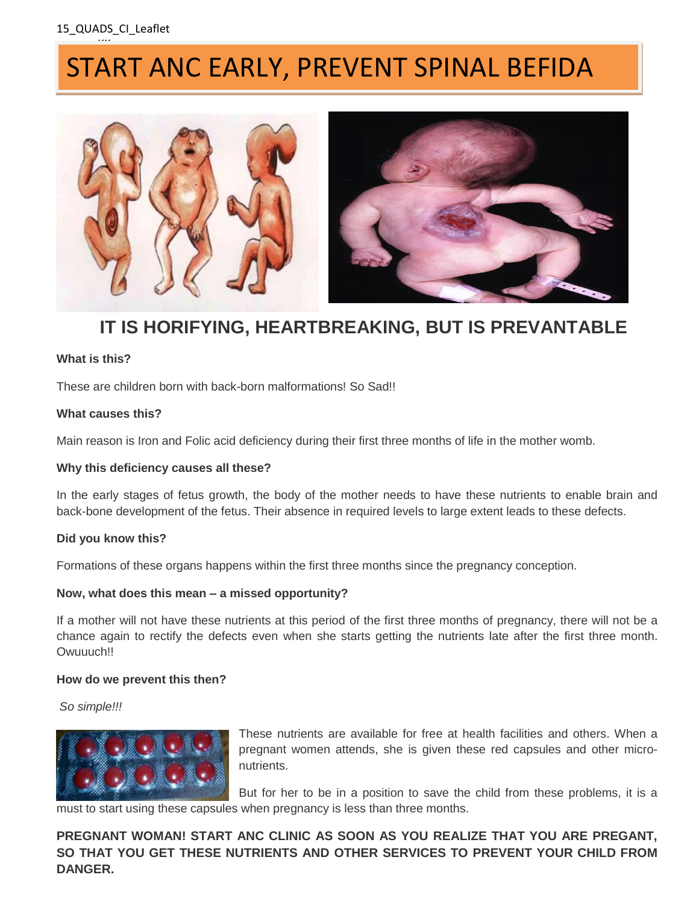<u>...</u>

# START ANC EARLY, PREVENT SPINAL BEFIDA



### **IT IS HORIFYING, HEARTBREAKING, BUT IS PREVANTABLE**

### **What is this?**

These are children born with back-born malformations! So Sad!!

### **What causes this?**

Main reason is Iron and Folic acid deficiency during their first three months of life in the mother womb.

### **Why this deficiency causes all these?**

In the early stages of fetus growth, the body of the mother needs to have these nutrients to enable brain and back-bone development of the fetus. Their absence in required levels to large extent leads to these defects.

### **Did you know this?**

Formations of these organs happens within the first three months since the pregnancy conception.

### **Now, what does this mean – a missed opportunity?**

If a mother will not have these nutrients at this period of the first three months of pregnancy, there will not be a chance again to rectify the defects even when she starts getting the nutrients late after the first three month. Owuuuch!!

### **How do we prevent this then?**

*So simple!!!* 



These nutrients are available for free at health facilities and others. When a pregnant women attends, she is given these red capsules and other micronutrients.

But for her to be in a position to save the child from these problems, it is a must to start using these capsules when pregnancy is less than three months.

**PREGNANT WOMAN! START ANC CLINIC AS SOON AS YOU REALIZE THAT YOU ARE PREGANT, SO THAT YOU GET THESE NUTRIENTS AND OTHER SERVICES TO PREVENT YOUR CHILD FROM DANGER.**